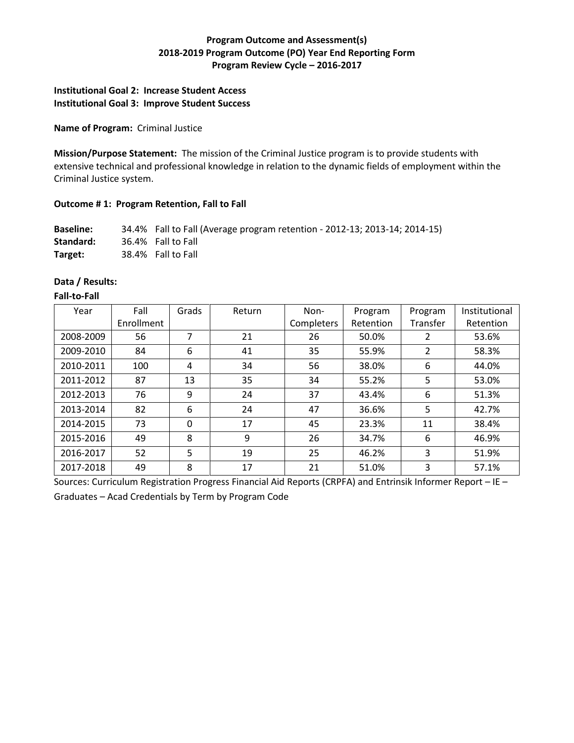# **Program Outcome and Assessment(s) 2018-2019 Program Outcome (PO) Year End Reporting Form Program Review Cycle – 2016-2017**

## **Institutional Goal 2: Increase Student Access Institutional Goal 3: Improve Student Success**

#### **Name of Program:** Criminal Justice

**Mission/Purpose Statement:** The mission of the Criminal Justice program is to provide students with extensive technical and professional knowledge in relation to the dynamic fields of employment within the Criminal Justice system.

Institutional Retention

## **Outcome # 1: Program Retention, Fall to Fall**

**Baseline:** 34.4% Fall to Fall (Average program retention - 2012-13; 2013-14; 2014-15) **Standard:** 36.4% Fall to Fall **Target:** 38.4% Fall to Fall

## **Data / Results:**

| <b>Fall-to-Fall</b> |            |       |        |            |           |          |            |  |
|---------------------|------------|-------|--------|------------|-----------|----------|------------|--|
| Year                | Fall       | Grads | Return | Non-       | Program   | Program  | Institutio |  |
|                     | Enrollment |       |        | Completers | Retention | Transfer | Retentio   |  |
| 2008-2009           | 56         | 7     | 21     | 26         | 50.0%     |          | 53.6%      |  |
| 2009-2010           | 84         | 6     | 41     | 35         | 55.9%     | 2        | 58.3%      |  |
| 2010-2011           | 100        | 4     | 34     | 56         | 38.0%     | 6        | 44.0%      |  |
| 2011-2012           | 87         | 13    | 35     | 34         | 55.2%     | 5        | 53.0%      |  |
| 2012-2013           | 76         | 9     | 24     | 37         | 43.4%     | 6        | 51.3%      |  |
| 2013-2014           | 82         | 6     | 24     | 47         | 36.6%     | 5        | 42.7%      |  |
| 2014-2015           | 73         | 0     | 17     | 45         | 23.3%     | 11       | 38.4%      |  |

2017-2018 49 8 17 17 21 51.0% 3 57.1% Sources: Curriculum Registration Progress Financial Aid Reports (CRPFA) and Entrinsik Informer Report – IE – Graduates – Acad Credentials by Term by Program Code

2015-2016 49 8 9 26 34.7% 6 46.9% 2016-2017 | 52 | 5 | 19 | 25 | 46.2% | 3 | 51.9%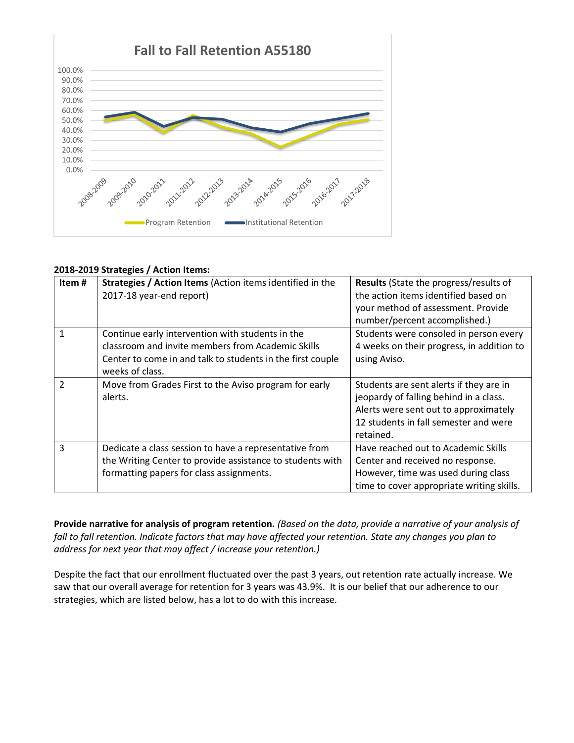

#### **2018-2019 Strategies / Action Items:**

| Item#         | Strategies / Action Items (Action items identified in the<br>2017-18 year-end report)                                                                                                  | <b>Results</b> (State the progress/results of<br>the action items identified based on<br>your method of assessment. Provide<br>number/percent accomplished.)                     |
|---------------|----------------------------------------------------------------------------------------------------------------------------------------------------------------------------------------|----------------------------------------------------------------------------------------------------------------------------------------------------------------------------------|
| 1             | Continue early intervention with students in the<br>classroom and invite members from Academic Skills<br>Center to come in and talk to students in the first couple<br>weeks of class. | Students were consoled in person every<br>4 weeks on their progress, in addition to<br>using Aviso.                                                                              |
| $\mathcal{P}$ | Move from Grades First to the Aviso program for early<br>alerts.                                                                                                                       | Students are sent alerts if they are in<br>jeopardy of falling behind in a class.<br>Alerts were sent out to approximately<br>12 students in fall semester and were<br>retained. |
| 3             | Dedicate a class session to have a representative from<br>the Writing Center to provide assistance to students with<br>formatting papers for class assignments.                        | Have reached out to Academic Skills<br>Center and received no response.<br>However, time was used during class<br>time to cover appropriate writing skills.                      |

**Provide narrative for analysis of program retention.** *(Based on the data, provide a narrative of your analysis of fall to fall retention. Indicate factors that may have affected your retention. State any changes you plan to address for next year that may affect / increase your retention.)* 

Despite the fact that our enrollment fluctuated over the past 3 years, out retention rate actually increase. We saw that our overall average for retention for 3 years was 43.9%. It is our belief that our adherence to our strategies, which are listed below, has a lot to do with this increase.